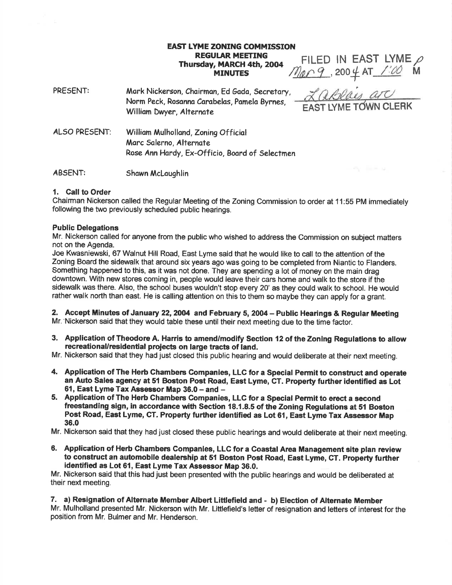# EAST LYME ZONING COMMISSION **REGULAR MEETING** Thursday, MARCH 4th, 2004 **MINUTES**

FILED IN EAST LYME  $\rho$ Mer 9, 200 4 AT 1:00 M

PRESENT: Mark Nickerson, Chairman, Ed Gada, Secretary, Norm Peck, Rosonno Corobelos, Pomelo Byrnes, INGERIC FECK, RUSUTING CAPADEIAS, PAMEIA BYFNES, EAST LYME TOWN CLERK<br>William Dwyer, Alternate ALSO PRESENT: William Mulholland, Zoning Official Morc Solerno, Alternate Rose Ann Hardy, Ex-Officio, Board of Selectmen

# ABSENT: Shawn McLaughlin

# 1. Gall to Order

Chairman Nickerson called the Regular Meeting of the Zoning Commission to order at 1 1:55 PM immediately following the two previously scheduled public hearings.

## Public Delegations

Mr. Nickerson called for anyone from the public who wished to address the Commission on subject matters not on the Agenda.

Joe Kwasniewski, 67 Walnut Hill Road, East Lyme said that he would like to call to the attention of the Zoning Board the sidewalk that around six years ago was going to be completed from Niantic to Flanders. Something happened to this, as it was not done. They are spending a lot of money on the main drag downtown. With new stores coming in, people would leave their cars home and walk to the store if the sidewalk was there. Also, the school buses wouldn't stop every 20' as they could walk to school. He would rather walk north than east. He is calling attention on this to them so maybe they can apply for a grant.

2. Accept Minutes of January 22, 2004 and February 5, 2004 - Public Hearings & Regular Meeting Mr.'Nickerson said that they would table these until their next meeting due to the time factor.

3. Application of Theodore A. Harris to amend/modify Section 12 of the Zoning Regulations to allow recreational/residential proiects on large tracts of land.

Mr. Nickerson said that they had just closed this public hearing and would deliberate at their next meeting.

- 4. Application of The Herb Ghambers Gompanies, LLC for a Special Permit to construct and operate an Auto Sales agency at 51 Boston Post Road, East Lyme, CT. Property further identified as Lot 61, East Lyme Tax Assessor Map  $36.0 -$  and  $-$
- 5. Application of The Herb Chambers Companies, LLC for a Special Permit to erect a second freestanding sign, in accordance with Section 18.1.8.5 of the Zoning Regulations at 51 Boston Post Road, East Lyme, CT. Property further identified as Lot 61, East Lyme Tax Assessor Map 36.0

Mr. Nickerson said that they had just closed these public hearings and would deliberate at their next meeting.

6. Application of Herb Chambers Companies, LLC for a Coastal Area Management site plan review to construct an automobile dealership at 51 Boston Post Road, East Lyme, CT. Property further identified as Lot 61, East Lyme Tax Assessor Map 36.0.

Mr. Nickerson said that this had just been presented with the public hearings and would be deliberated at their next meeting.

# 7. a) Resignation of Alternate Member Albert Littlefield and - b) Election of Alternate Member

Mr. Mulholland presented Mr. Nickerson with Mr. Littlefield's letter of resignation and letters of interest for the position from Mr. Bulmer and Mr. Henderson.